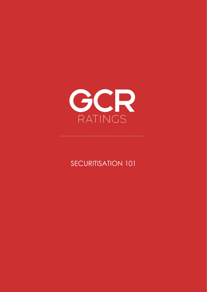

SECURITISATION 101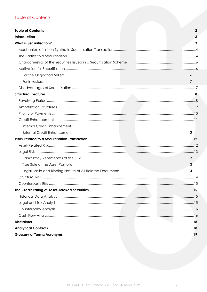# <span id="page-1-0"></span>**Table of Contents**

| <b>Table of Contents</b>                                 | $\mathbf 2$ |
|----------------------------------------------------------|-------------|
| Introduction                                             | 3           |
| <b>What is Securitisation?</b>                           | 3           |
|                                                          |             |
|                                                          |             |
|                                                          |             |
|                                                          |             |
| For the Originator/ Seller:                              | 6           |
| For Investors:                                           | 7           |
|                                                          |             |
| <b>Structural Features</b>                               |             |
|                                                          |             |
|                                                          |             |
|                                                          |             |
|                                                          |             |
| Internal Credit Enhancement                              | 11          |
| <b>External Credit Enhancement</b>                       | 12          |
| <b>Risks Related to a Securitisation Transaction</b>     | 12          |
|                                                          |             |
|                                                          |             |
|                                                          |             |
| Bankruptcy Remoteness of the SPV                         | 13          |
| True Sale of the Asset Portfolio                         | 13          |
| Legal, Valid and Binding Nature of All Related Documents | 14          |
|                                                          |             |
|                                                          |             |
| The Credit Rating of Asset-Backed Securities             | 15          |
|                                                          |             |
|                                                          |             |
|                                                          |             |
|                                                          |             |
| <b>Disclaimer</b>                                        | 18          |
| <b>Analytical Contacts</b>                               | 18          |
| <b>Glossary of Terms/Acronyms</b>                        | 19          |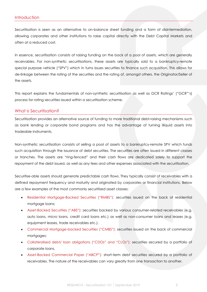<span id="page-2-0"></span>Securitisation is seen as an alternative to on-balance sheet funding and a form of disintermediation, allowing corporates and other institutions to raise capital directly with the Debt Capital Markets and often at a reduced cost.

In essence, securitisation consists of raising funding on the back of a pool of assets, which are generally receivables. For non-synthetic securitisations, these assets are typically sold to a bankruptcy-remote special purpose vehicle ("SPV") which in turns issues securities to finance such acquisition. This allows for de-linkage between the rating of the securities and the rating of, amongst others, the Originator/Seller of the assets.

This report explains the fundamentals of non-synthetic securitisation as well as GCR Ratings' ("GCR"'s) process for rating securities issued within a securitisation scheme.

### <span id="page-2-1"></span>What is Securitisation?

Securitisation provides an alternative source of funding to more traditional debt-raising mechanisms such as bank lending or corporate bond programs and has the advantage of turning illiquid assets into tradeable instruments.

Non-synthetic securitisation consists of selling a pool of assets to a bankruptcy-remote SPV which funds such acquisition through the issuance of debt securities. The securities are often issued in different classes or tranches. The assets are "ring-fenced" and their cash flows are dedicated solely to support the repayment of the debt issued, as well as any fees and other expenses associated with the securitisation.

Securitise-able assets should generate predictable cash flows. They typically consist of receivables with a defined repayment frequency and maturity and originated by corporates or financial institutions. Below are a few examples of the most commonly securitised asset classes:

- Residential Mortgage-Backed Securities ("RMBS"): securities issued on the back of residential mortgage loans;
- Asset-Backed Securities ("ABS"): securities backed by various consumer-related receivables (e.g. auto loans, micro loans, credit card loans etc.) as well as non-consumer loans and leases (e.g. equipment leases, trade receivables etc.).
- Commercial Mortgage-backed Securities ("CMBS"): securities issued on the back of commercial mortgages;
- Collateralised debt/ loan obligations ("CDOs" and "CLOs"): securities secured by a portfolio of corporate loans.
- Asset-Backed Commercial Paper ("ABCP"): short-term debt securities secured by a portfolio of receivables. The nature of the receivables can vary greatly from one transaction to another.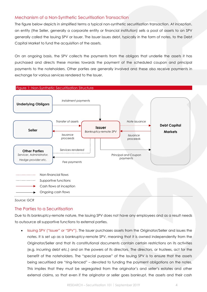# <span id="page-3-0"></span>Mechanism of a Non-Synthetic Securitisation Transaction

The figure [below](#page-3-2) depicts in simplified terms a typical non-synthetic securitisation transaction. At inception, an entity (the Seller, generally a corporate entity or financial institution) sells a pool of assets to an SPV generally called the Issuing SPV or Issuer. The Issuer issues debt, typically in the form of notes, to the Debt Capital Market to fund the acquisition of the assets.

On an ongoing basis, the SPV collects the payments from the obligors that underlie the assets it has purchased and directs these monies towards the payment of the scheduled coupon and principal payments to the noteholders. Other parties are generally involved and these also receive payments in exchange for various services rendered to the Issuer.

<span id="page-3-2"></span>

*Source: GCR*

## <span id="page-3-1"></span>The Parties to a Securitisation

Due to its bankruptcy-remote nature, the Issuing SPV does not have any employees and as a result needs to outsource all supportive functions to external parties.

• Issuing SPV ("Issuer" or "SPV"). The Issuer purchases assets from the Originator/Seller and issues the notes. It is set up as a bankruptcy-remote SPV, meaning that it is owned independently from the Originator/Seller and that its constitutional documents contain certain restrictions on its activities (e.g. incurring debt etc.) and on the powers of its directors. The directors, or trustees, act for the benefit of the noteholders. The "special purpose" of the Issuing SPV is to ensure that the assets being securitised are "ring-fenced" – devoted to funding the payment obligations on the notes. This implies that they must be segregated from the originator's and seller's estates and other external claims, so that even if the originator or seller goes bankrupt, the assets and their cash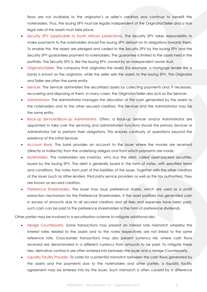flows are not available to the originator's or seller's creditors and continue to benefit the noteholders. Thus, the Issuing SPV must be legally independent of the Originator/Seller and a true legal sale of the assets must take place.

- Security SPV (applicable to South African jurisdictions). The Security SPV takes responsibility to make payments to the noteholders should the Issuing SPV default on its obligations towards them. To enable this, the assets are pledged and ceded to the Security SPV by the Issuing SPV and the Security SPV guarantees payment to noteholders. The guarantee is limited to the assets held in the portfolio. The Security SPV is, like the Issuing SPV, owned by an independent owner trust.
- Originator/Seller. The company that originates the assets (for example, a mortgage lender like a bank) is known as the originator, while the seller sells the assets to the issuing SPV. The Originator and Seller are often the same entity;
- Servicer. The Servicer administers the securitised assets by collecting payments and, if necessary, recovering and disposing of them. In many cases, the Originator/Seller also acts as the Servicer.
- Administrator. The Administrator manages the allocation of the cash generated by the assets to the noteholders and to the other secured creditors. The Servicer and the Administrator may be the same entity.
- Back-up Servicer/Back-up Administrator. Often, a Back-up Servicer and/or Administrator are appointed to take over the servicing and administration functions should the primary Servicer or Administrator fail to perform their obligations. This ensures continuity of operations beyond the existence of the initial Servicer,
- Account Bank. The bank provides an account to the Issuer where the monies are received (directly or indirectly) from the underlying obligors and from which payments are made.
- Noteholders. The noteholders are investors, who buy the debt, called asset-backed securities, issued by the Issuing SPV. The debt is generally issued in the form of notes, with specified terms and conditions. The notes form part of the liabilities of the issuer. Together with the other creditors of the issuer (such as other lenders, third party service providers as well as the tax authorities), they are known as secured creditors.
- Preference Shareholders. The issuer may issue preference shares, which are used as a profit extraction mechanism for the Preference Shareholders. If the asset portfolio has generated cash in excess of amounts due to all secured creditors and all fees and expenses have been paid, such cash can be paid to the preference shareholders in the form of preference dividends.

Other parties may be involved in a securitisation scheme to mitigate additional risks:

- Hedge Counterparty. Some transactions may present an interest rate mismatch whereby the interest rates related to the assets and to the notes respectively are not linked to the same reference rate. Cross-border transactions may also present currency risk, where cash flows received are denominated in a different currency from amounts to be paid. To mitigate these risks, derivative contracts are often entered into between the Issuer and a Hedge Counterparty.
- Liquidity Facility Provider. To cater for a potential mismatch between the cash flows generated by the assets and the payments due to the noteholders and other parties, a liquidity facility agreement may be entered into by the Issuer. Such mismatch is often caused by a difference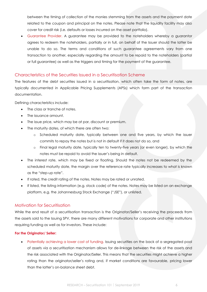between the timing of collection of the monies stemming from the assets and the payment date related to the coupon and principal on the notes. Please note that the liquidity facility may also cover for credit risk (i.e. defaults or losses incurred on the asset portfolio).

• Guarantee Provider. A guarantee may be provided to the noteholders whereby a guarantor agrees to redeem the noteholders, partially or in full, on behalf of the Issuer should the latter be unable to do so. The terms and conditions of such guarantee agreements vary from one transaction to another, especially regarding the amount to be repaid to the noteholders (partial or full guarantee) as well as the triggers and timing for the payment of the guarantee.

# <span id="page-5-0"></span>Characteristics of the Securities Issued in a Securitisation Scheme

The features of the debt securities issued in a securitisation, which often take the form of notes, are typically documented in Applicable Pricing Supplements (APSs) which form part of the transaction documentation.

Defining characteristics include:

- The class or tranche of notes.
- The issuance amount.
- The issue price, which may be at par, discount or premium.
- The maturity dates, of which there are often two:
	- o Scheduled maturity date, typically between one and five years, by which the issuer commits to repay the notes but is not in default if it does not do so, and
	- o Final legal maturity date, typically ten to twenty-five years (or even longer), by which the notes must be repaid to avoid the issuer's being in default.
- The interest rate, which may be fixed or floating. Should the notes not be redeemed by the scheduled maturity date, the margin over the reference rate typically increases to what is known as the "step-up rate".
- If rated, the credit rating of the notes. Notes may be rated or unrated.
- If listed, the listing information (e.g. stock code) of the notes. Notes may be listed on an exchange platform, e.g. the Johannesburg Stock Exchange ("JSE"), or unlisted.

## <span id="page-5-1"></span>Motivation for Securitisation

While the end result of a securitisation transaction is the Originator/Seller's receiving the proceeds from the assets sold to the Issuing SPV, there are many different motivations for corporate and other institutions requiring funding as well as for investors. These include:

#### <span id="page-5-2"></span>**For the Originator/ Seller:**

• Potentially achieving a lower cost of funding. Issuing securities on the back of a segregated pool of assets via a securitisation mechanism allows for de-linkage between the risk of the assets and the risk associated with the Originator/Seller. This means that the securities might achieve a higher rating than the originator/seller's rating and, if market conditions are favourable, pricing lower than the latter's on-balance sheet debt.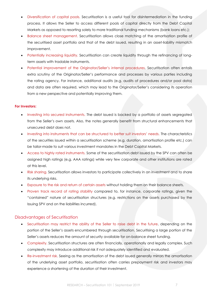- Diversification of capital pools. Securitisation is a useful tool for disintermediation in the funding process. It allows the Seller to access different pools of capital directly from the Debt Capital Markets as opposed to resorting solely to more traditional funding mechanisms (bank loans etc.);
- Balance sheet management. Securitisation allows close matching of the amortisation profile of the securitised asset portfolio and that of the debt issued, resulting in an asset-liability mismatch improvement.
- Potentially increasing liquidity. Securitisation can create liquidity through the refinancing of longterm assets with tradable instruments.
- Potential improvement of the Originator/Seller's internal procedures. Securitisation often entails extra scrutiny of the Originator/Seller's performance and processes by various parties including the rating agency. For instance, additional audits (e.g. audits of procedures and/or pool data) and data are often required, which may lead to the Originator/Seller's considering its operation from a new perspective and potentially improving them.

#### <span id="page-6-0"></span>**For Investors:**

- Investing into secured instruments. The debt issued is backed by a portfolio of assets segregated from the Seller's own assets. Also, the notes generally benefit from structural enhancements that unsecured debt does not.
- Investing into instruments that can be structured to better suit investors' needs. The characteristics of the securities issued within a securitisation scheme (e.g. duration, amortisation profile etc.) can be tailor-made to suit various investment mandates in the Debt Capital Markets.
- Access to highly rated instruments. Some of the securitisation debt issued by the SPV can often be assigned high ratings (e.g. AAA ratings) while very few corporate and other institutions are rated at this level.
- Risk sharing. Securitisation allows investors to participate collectively in an investment and to share its underlying risks.
- Exposure to the risk and return of certain assets without holding them on their balance sheets.
- Proven track record of rating stability compared to, for instance, corporate ratings, given the "contained" nature of securitisation structures (e.g. restrictions on the assets purchased by the Issuing SPV and on the liabilities incurred).

#### <span id="page-6-1"></span>Disadvantages of Securitisation

- Securitisation may restrict the ability of the Seller to raise debt in the future, depending on the portion of the Seller's assets encumbered through securitisation. Securitising a large portion of the Seller's assets reduces the amount of security available for on-balance sheet funding.
- Complexity. Securitisation structures are often financially, operationally and legally complex. Such complexity may introduce additional risk if not adequately identified and evaluated.
- Re-investment risk. Seeing as the amortisation of the debt issued generally mirrors the amortisation of the underlying asset portfolio, securitisation often carries prepayment risk and investors may experience a shortening of the duration of their investment.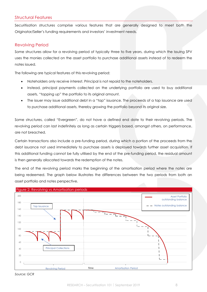## <span id="page-7-0"></span>Structural Features

Securitisation structures comprise various features that are generally designed to meet both the Originator/Seller's funding requirements and investors' investment needs.

### <span id="page-7-1"></span>Revolving Period

Some structures allow for a revolving period of typically three to five years, during which the Issuing SPV uses the monies collected on the asset portfolio to purchase additional assets instead of to redeem the notes issued.

The following are typical features of this revolving period:

- Noteholders only receive interest. Principal is not repaid to the noteholders.
- Instead, principal payments collected on the underlying portfolio are used to buy additional assets, "topping up" the portfolio to its original amount.
- The issuer may issue additional debt in a "tap" issuance. The proceeds of a tap issuance are used to purchase additional assets, thereby growing the portfolio beyond its original size.

Some structures, called "Evergreen", do not have a defined end date to their revolving periods. The revolving period can last indefinitely as long as certain triggers based, amongst others, on performance, are not breached.

Certain transactions also include a pre-funding period, during which a portion of the proceeds from the debt issuance not used immediately to purchase assets is deployed towards further asset acquisition. If this additional funding cannot be fully utilised by the end of the pre-funding period, the residual amount is then generally allocated towards the redemption of the notes.

The end of the revolving period marks the beginning of the amortisation period where the notes are being redeemed. The graph [below](#page-7-2) illustrates the differences between the two periods from both an asset portfolio and notes perspective.

<span id="page-7-2"></span>

*Source: GCR*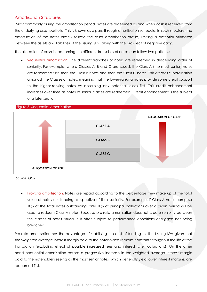# <span id="page-8-0"></span>Amortisation Structures

Most commonly during the amortisation period, notes are redeemed as and when cash is received from the underlying asset portfolio. This is known as a pass-through amortisation schedule. In such structure, the amortisation of the notes closely follows the asset amortisation profile, limiting a potential mismatch between the assets and liabilities of the Issuing SPV, along with the prospect of negative carry.

The allocation of cash in redeeming the different transches of notes can follow two patterns:

• Sequential amortisation. The different tranches of notes are redeemed in descending order of seniority. For example, where Classes A, B and C are issued, the Class A (the most senior) notes are redeemed first, then the Class B notes and then the Class C notes. This creates subordination amongst the Classes of notes, meaning that the lower-ranking notes provide some credit support to the higher-ranking notes by absorbing any potential losses first. This credit enhancement increases over time as notes of senior classes are redeemed. Credit enhancement is the subject of a later section.

#### Figure 3: Sequential Amortisation



*Source: GCR*

• Pro-rata amortisation. Notes are repaid according to the percentage they make up of the total value of notes outstanding, irrespective of their seniority. For example, if Class A notes comprise 10% of the total notes outstanding, only 10% of principal collections over a given period will be used to redeem Class A notes. Because pro-rata amortisation does not create seniority between the classes of notes issued, it is often subject to performance conditions or triggers not being breached.

Pro-rata amortisation has the advantage of stabilising the cost of funding for the Issuing SPV given that the weighted average interest margin paid to the noteholders remains constant throughout the life of the transaction (excluding effect of possible increased fees and interest rate fluctuations). On the other hand, sequential amortisation causes a progressive increase in the weighted average interest margin paid to the noteholders seeing as the most senior notes, which generally yield lower interest margins, are redeemed first.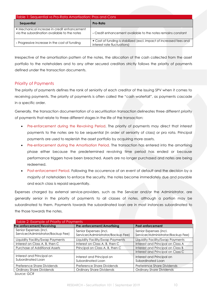| Table 1: Sequential vs Pro-Rata Amortisation: Pros and Cons                                 |                                                                                                    |  |
|---------------------------------------------------------------------------------------------|----------------------------------------------------------------------------------------------------|--|
| Sequential                                                                                  | Pro-Rata                                                                                           |  |
| + Mechanical increase in credit enhancement<br>via the subordination available to the notes | - Credit enhancement available to the notes remains constant                                       |  |
| - Progressive increase in the cost of funding                                               | + Cost of funding is stabilized (excl. impact of increased fees and<br>interest rate fluctuations) |  |

Irrespective of the amortisation pattern of the notes, the allocation of the cash collected from the asset portfolio to the noteholders and to any other secured creditors strictly follows the priority of payments defined under the transaction documents.

# <span id="page-9-0"></span>Priority of Payments

The priority of payments defines the rank of seniority of each creditor of the Issuing SPV when it comes to receiving payments. The priority of payments is often called the "cash waterfall", as payments cascade in a specific order.

Generally, the transaction documentation of a securitisation transaction delineates three different priority of payments that relate to three different stages in the life of the transaction:

- Pre-enforcement during the Revolving Period. The priority of payments may direct that interest payments to the notes are to be sequential (in order of seniority of class) or pro rata. Principal payments are used to replenish the asset portfolio by acquiring more assets.
- Pre-enforcement during the Amortisation Period. The transaction has entered into the amortising phase either because the predetermined revolving time period has ended or because performance triggers have been breached. Assets are no longer purchased and notes are being redeemed.
- Post-enforcement Period. Following the occurrence of an event of default and the decision by a majority of noteholders to enforce the security, the notes become immediately due and payable and each class is repaid sequentially.

Expenses charged by external service-providers, such as the Servicer and/or the Administrator, are generally senior in the priority of payments to all classes of notes, although a portion may be subordinated to them. Payments towards the subordinated loan are in most instances subordinated to the those towards the notes.

| Table 2: Example of Priority of Payments                     |                                                              |                                                              |
|--------------------------------------------------------------|--------------------------------------------------------------|--------------------------------------------------------------|
| Pre-enforcement/Revolving                                    | <b>Pre-enforcement/Amortising</b>                            | <b>Post-enforcement</b>                                      |
| Senior Expenses (incl.<br>Servicer/Administrator/Backup Fee) | Senior Expenses (incl.<br>Servicer/Administrator/Backup Fee) | Senior Expenses (incl.<br>Servicer/Administrator/Backup Fee) |
| Liquidity Facility/Swap Payments                             | Liquidity Facility/Swap Payments                             | Liquidity Facility/Swap Payments                             |
| Interest on Class A, B, then C                               | Interest on Class A, B, then C                               | Interest and Principal on Class A                            |
| <b>Purchase of Additional Assets</b>                         | Principal on Class A, B, then C                              | Interest and Principal on Class B                            |
|                                                              |                                                              | Interest and Principal on Class C                            |
| Interest and Principal on<br>Subordinated Loan               | Interest and Principal on<br>Subordinated Loan               | Interest and Principal on<br>Subordinated Loan               |
| Preference Share Dividends                                   | Preference Share Dividends                                   | Preference Share Dividends                                   |
| <b>Ordinary Share Dividends</b>                              | <b>Ordinary Share Dividends</b>                              | <b>Ordinary Share Dividends</b>                              |
|                                                              |                                                              |                                                              |

*Source: GCR*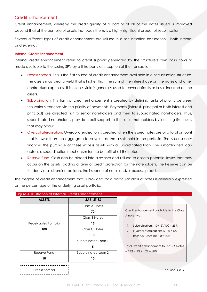# <span id="page-10-0"></span>Credit Enhancement

Credit enhancement, whereby the credit quality of a part or of all of the notes issued is improved beyond that of the portfolio of assets that back them, is a highly significant aspect of securitisation.

Several different types of credit enhancement are utilised in a securitisation transaction – both internal and external.

#### <span id="page-10-1"></span>**Internal Credit Enhancement**

Internal credit enhancement refers to credit support generated by the structure's own cash flows or made available to the Issuing SPV by a third party at inception of the transaction.

- Excess spread. This is the first source of credit enhancement available in a securitisation structure. The assets may bear a yield that is higher than the sum of the interest due on the notes and other contractual expenses. This excess yield is generally used to cover defaults or losses incurred on the assets.
- Subordination. This form of credit enhancement is created by defining ranks of priority between the various tranches via the priority of payments. Payments (interest, principal or both interest and principal) are directed first to senior noteholders and then to subordinated noteholders. Thus, subordinated noteholders provide credit support to the senior noteholders by incurring first losses that may occur.
- Overcollateralisation. Overcollateralisation is created when the issued notes are of a total amount that is lower than the aggregate face value of the assets held in the portfolio. The issuer usually finances the purchase of these excess assets with a subordinated loan. The subordinated loan acts as a subordination mechanism for the benefit of all the notes.
- Reserve fund. Cash can be placed into a reserve and utilised to absorb potential losses that may occur on the assets, adding a layer of credit protection for the noteholders. The Reserve can be funded via a subordinated loan, the issuance of notes and/or excess spread.

The degree of credit enhancement that is provided for a particular class of notes is generally expressed as the percentage of the underlying asset portfolio.

| <b>ASSETS</b>         | <b>LIABILITIES</b>  |                                            |
|-----------------------|---------------------|--------------------------------------------|
|                       | Class A Notes       |                                            |
|                       | 70                  | Credit enhancement available to the Class  |
|                       | Class B Notes       | A notes via:                               |
| Receivables Portfolio | 15                  | Subordination: $(10+15)/100 = 25%$<br>1.   |
| 100                   | Class C Notes       | Overcollateralisation: $5/100 = 5\%$<br>2. |
|                       | 10                  | 3.<br>Reserve Fund: $10/100 = 10\%$        |
|                       | Subordinated Loan 1 |                                            |
|                       | 5                   | Total Credit enhancement to Class A Notes  |
| Reserve Fund          | Subordinated Loan 2 | $= 25\% + 5\% + 10\% = 40\%$               |
| 10                    | 10                  |                                            |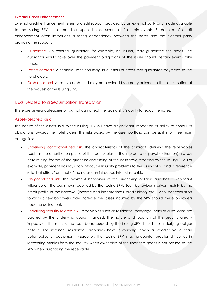#### <span id="page-11-0"></span>**External Credit Enhancement**

External credit enhancement refers to credit support provided by an external party and made available to the Issuing SPV on demand or upon the occurrence of certain events. Such form of credit enhancement often introduces a rating dependency between the notes and the external party providing the support.

- Guarantee. An external guarantor, for example, an insurer, may guarantee the notes. The guarantor would take over the payment obligations of the issuer should certain events take place.
- Letters of credit. A financial institution may issue letters of credit that guarantee payments to the noteholders.
- Cash collateral. A reserve cash fund may be provided by a party external to the securitisation at the request of the Issuing SPV.

#### <span id="page-11-1"></span>Risks Related to a Securitisation Transaction

There are several categories of risk that can affect the Issuing SPV's ability to repay the notes:

#### <span id="page-11-2"></span>Asset-Related Risk

The nature of the assets sold to the Issuing SPV will have a significant impact on its ability to honour its obligations towards the noteholders. The risks posed by the asset portfolio can be split into three main categories:

- Underlying contract-related risk. The characteristics of the contracts defining the receivables (such as the amortisation profile of the receivables or the interest rates payable thereon) are key determining factors of the quantum and timing of the cash flows received by the Issuing SPV. For example, payment holidays can introduce liquidity problems to the Issuing SPV, and a reference rate that differs from that of the notes can introduce interest rate risk.
- Obligor-related risk. The payment behaviour of the underlying obligors also has a significant influence on the cash flows received by the Issuing SPV. Such behaviour is driven mainly by the credit profile of the borrower (income and indebtedness, credit history etc.). Also, concentration towards a few borrowers may increase the losses incurred by the SPV should these borrowers become delinquent.
- Underlying security-related risk. Receivables such as residential mortgage loans or auto loans are backed by the underlying goods financed. The nature and location of the security greatly impacts on the monies that can be recouped by the Issuing SPV should the underlying obligor default. For instance, residential properties have historically shown a steadier value than automobiles or equipment. Moreover, the Issuing SPV may encounter greater difficulties in recovering monies from the security when ownership of the financed goods is not passed to the SPV when purchasing the receivables.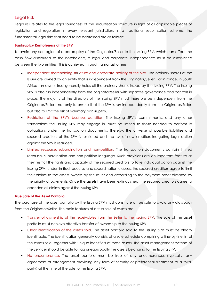### <span id="page-12-0"></span>Legal Risk

Legal risk relates to the legal soundness of the securitisation structure in light of all applicable pieces of legislation and regulation in every relevant jurisdiction. In a traditional securitisation scheme, the fundamental legal risks that need to be addressed are as follows:

#### <span id="page-12-1"></span>**Bankruptcy Remoteness of the SPV**

To avoid any contagion of a bankruptcy of the Originator/Seller to the Issuing SPV, which can affect the cash flow distributed to the noteholders, a legal and corporate independence must be established between the two entities. This is achieved through, amongst others:

- Independent shareholding structure and corporate activity of the SPV. The ordinary shares of the Issuer are owned by an entity that is independent from the Originator/Seller. For instance, in South Africa, an owner trust generally holds all the ordinary shares issued by the Issuing SPV. The Issuing SPV is also run independently from the originator/seller with separate governance and controls in place. The majority of the directors of the Issuing SPV must therefore be independent from the Originator/Seller - not only to ensure that the SPV is run independently from the Originator/Seller, but also to limit the risk of voluntary bankruptcy.
- Restriction of the SPV's business activities. The Issuing SPV's commitments, and any other transactions the Issuing SPV may engage in, must be limited to those needed to perform its obligations under the transaction documents. Thereby, the universe of possible liabilities and secured creditors of the SPV is restricted and the risk of new creditors instigating legal action against the SPV is reduced.
- Limited recourse, subordination and non-petition. The transaction documents contain limited recourse, subordination and non-petition language. Such provisions are an important feature as they restrict the rights and capacity of the secured creditors to take individual action against the Issuing SPV. Under limited recourse and subordination clauses, the secured creditors agree to limit their claims to the assets owned by the Issuer and according to the payment order dictated by the priority of payments. Once the assets have been extinguished, the secured creditors agree to abandon all claims against the Issuing SPV.

#### <span id="page-12-2"></span>**True Sale of the Asset Portfolio**

The purchase of the asset portfolio by the Issuing SPV must constitute a true sale to avoid any clawback from the Originator/Seller. The main features of a true sale of assets are:

- Transfer of ownership of the receivables from the Seller to the Issuing SPV. The sale of the asset portfolio must achieve effective transfer of ownership to the Issuing SPV.
- Clear identification of the assets sold. The asset portfolio sold to the Issuing SPV must be clearly identifiable. The identification generally consists of a sale schedule comprising a line-by-line list of the assets sold, together with unique identifiers of these assets. The asset management systems of the Servicer should be able to flag unequivocally the assets belonging to the Issuing SPV.
- No encumbrance. The asset portfolio must be free of any encumbrances (typically, any agreement or arrangement providing any form of security or preferential treatment to a thirdparty) at the time of the sale to the Issuing SPV.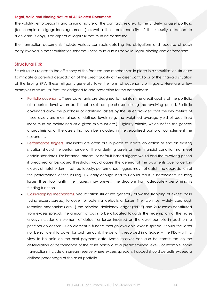#### <span id="page-13-0"></span>**Legal, Valid and Binding Nature of All Related Documents**

The validity, enforceability and binding nature of the contracts related to the underlying asset portfolio (for example, mortgage loan agreements), as well as the enforceability of the security attached to such loans (if any), is an aspect of legal risk that must be addressed.

The transaction documents include various contracts detailing the obligations and recourse of each party involved in the securitisation scheme. These must also all be valid, legal, binding and enforceable.

#### <span id="page-13-1"></span>Structural Risk

Structural risk relates to the efficiency of the features and mechanisms in place in a securitisation structure to mitigate a potential degradation of the credit quality of the asset portfolio or of the financial situation of the Issuing SPV. These mitigants generally take the form of covenants or triggers. Here are a few examples of structural features designed to add protection for the noteholders:

- Portfolio covenants. These covenants are designed to maintain the credit quality of the portfolio at a certain level when additional assets are purchased during the revolving period. Portfolio covenants allow the purchase of additional assets by the Issuer provided that the key metrics of these assets are maintained at defined levels (e.g. the weighted average yield of securitised loans must be maintained at a given minimum etc.). Eligibility criteria, which define the general characteristics of the assets that can be included in the securitised portfolio, complement the covenants.
- Performance triggers. Thresholds are often put in place to initiate an action or end an existing situation should the performance of the underlying assets or their financial condition not meet certain standards. For instance, arrears- or default-based triggers would end the revolving period if breached or loss-based thresholds would cause the deferral of the payments due to certain classes of noteholders. If set too loosely, performance triggers may not catch the degradation of the performance of the Issuing SPV early enough and this could result in noteholders incurring losses. If set too tightly, the triggers may prevent the structure from adequately performing its funding function.
- Cash-trapping mechanisms. Securitisation structures generally allow the trapping of excess cash (using excess spread) to cover for potential defaults or losses. The two most widely used cash retention mechanisms are 1) the principal deficiency ledger ("PDL") and 2) reserves constituted from excess spread. The amount of cash to be allocated towards the redemption of the notes always includes an element of default or losses incurred on the asset portfolio in addition to principal collections. Such element is funded through available excess spread. Should the latter not be sufficient to cover for such amount, the deficit is recorded in a ledger – the PDL – with a view to be paid on the next payment date. Some reserves can also be constituted on the deterioration of performance of the asset portfolio to a predetermined level. For example, some transactions include an arrears reserve where excess spread is trapped should defaults exceed a defined percentage of the asset portfolio.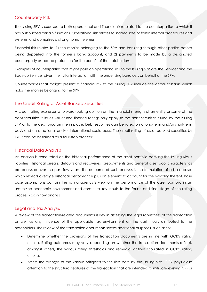# <span id="page-14-0"></span>Counterparty Risk

The Issuing SPV is exposed to both operational and financial risks related to the counterparties to which it has outsourced certain functions. Operational risk relates to inadequate or failed internal procedures and systems, and comprises a strong human element.

Financial risk relates to: 1) the monies belonging to the SPV and transiting through other parties before being deposited into the former's bank account, and 2) payments to be made by a designated counterparty as added protection for the benefit of the noteholders.

Examples of counterparties that might pose an operational risk to the Issuing SPV are the Servicer and the Back-up Servicer given their vital interaction with the underlying borrowers on behalf of the SPV.

Counterparties that maight present a financial risk to the issuing SPV include the account bank, which holds the monies belonging to the SPV.

## <span id="page-14-1"></span>The Credit Rating of Asset-Backed Securities

A credit rating expresses a forward-looking opinion on the financial strength of an entity or some of the debt securities it issues. Structured finance ratings only apply to the debt securities issued by the Issuing SPV or to the debt programme in place. Debt securities can be rated on a long-term and/or short-term basis and on a national and/or international scale basis. The credit rating of asset-backed securities by GCR can be described as a four-step process:

## <span id="page-14-2"></span>Historical Data Analysis

An analysis is conducted on the historical performance of the asset portfolio backing the Issuing SPV's liabilities. Historical arrears, defaults and recoveries, prepayments and general asset pool characteristics are analysed over the past few years. The outcome of such analysis is the formulation of a base case, which reflects average historical performance plus an element to account for the volatility thereof. Base case assumptions contain the rating agency's view on the performance of the asset portfolio in an unstressed economic environment and constitute key inputs to the fourth and final stage of the rating process - cash flow analysis.

# <span id="page-14-3"></span>Legal and Tax Analysis

A review of the transaction-related documents is key in assessing the legal robustness of the transaction as well as any influence of the applicable tax environment on the cash flows distributed to the noteholders. The review of the transaction documents serves additional purposes, such as to:

- Determine whether the provisions of the transaction documents are in line with GCR's rating criteria. Rating outcomes may vary depending on whether the transaction documents reflect, amongst others, the various rating thresholds and remedial actions stipulated in GCR's rating criteria.
- Assess the strength of the various mitigants to the risks born by the Issuing SPV. GCR pays close attention to the structural features of the transaction that are intended to mitigate existing risks or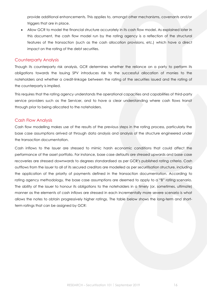provide additional enhancements. This applies to, amongst other mechanisms, covenants and/or triggers that are in place.

• Allow GCR to model the financial structure accurately in its cash flow model. As explained later in this document, the cash flow model run by the rating agency is a reflection of the structural features of the transaction (such as the cash allocation provisions, etc.) which have a direct impact on the rating of the debt securities.

#### <span id="page-15-0"></span>Counterparty Analysis

Though its counterparty risk analysis, GCR determines whether the reliance on a party to perform its obligations towards the Issuing SPV introduces risk to the successful allocation of monies to the noteholders and whether a credit-linkage between the rating of the securities issued and the rating of the counterparty is implied.

This requires that the rating agency understands the operational capacities and capabilities of third-party service providers such as the Servicer, and to have a clear understanding where cash flows transit through prior to being allocated to the noteholders.

#### <span id="page-15-1"></span>Cash Flow Analysis

Cash flow modelling makes use of the results of the previous steps in the rating process, particularly the base case assumptions arrived at through data analysis and analysis of the structure engineered under the transaction documentation.

Cash inflows to the Issuer are stressed to mimic harsh economic conditions that could affect the performance of the asset portfolio. For instance, base case defaults are stressed upwards and base case recoveries are stressed downwards to degrees standardised as per GCR's published rating criteria. Cash outflows from the issuer to all of its secured creditors are modelled as per securitisation structure, including the application of the priority of payments defined in the transaction documentation. According to rating agency methodology, the base case assumptions are deemed to apply to a "B" rating scenario. The ability of the issuer to honour its obligations to the noteholders in a timely (or, sometimes, ultimate) manner as the elements of cash inflows are stressed in each incrementally more severe scenario is what allows the notes to obtain progressively higher ratings. The table [below](#page-16-0) shows the long-term and shortterm ratings that can be assigned by GCR: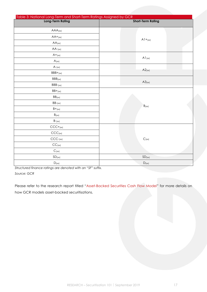<span id="page-16-0"></span>

| Table 3: National Long-Term and Short-Term Ratings Assigned by GCR |                              |
|--------------------------------------------------------------------|------------------------------|
| <b>Long-Term Rating</b>                                            | <b>Short-Term Rating</b>     |
| AAA(xx)                                                            |                              |
| $AA+_{[xx]}$                                                       |                              |
| AA(xx)                                                             | $A1 + (xx)$                  |
| $AA$ - $_{\left\langle \mathsf{xx}\right\rangle }$                 |                              |
| $A+_{(x\times)}$                                                   |                              |
| A(xx)                                                              | A1(xx)                       |
| $A$ - $(xx)$                                                       | A2(xx)                       |
| $BBB+_{(xx)}$                                                      |                              |
| BBB(xx)                                                            | A3(x)                        |
| $BBB-(xx)$                                                         |                              |
| $BB+_{(xx)}$                                                       |                              |
| $BB(xx)$                                                           |                              |
| $BB-(xx)$                                                          | $B_{(xx)}$                   |
| $B+_{\left( xx\right) }$                                           |                              |
| $B_{\left( xx\right) }$                                            |                              |
| $B_{\lnot\{xx\}}$                                                  |                              |
| $CCC+_{[XX]}$                                                      |                              |
| CCC <sub>(xx)</sub>                                                |                              |
| $\text{CCC-}\xspace_{\text{[XX]}}$                                 | $C_{\left( xx\right) }$      |
| CC <sub>(xx)</sub>                                                 |                              |
| $C_{(xx)}$                                                         |                              |
| SD(xx)                                                             | SD(xx)                       |
| $\mathsf{D}_{\mathsf{(xx)}}$                                       | $\mathsf{D}_{(\mathsf{xx})}$ |

*Structured finance ratings are denoted with an "SF" suffix.*

*Source: GCR*

Please refer to the research report titled "Asset-Backed Securities Cash Flow Model" for more details on how GCR models asset-backed securitisations.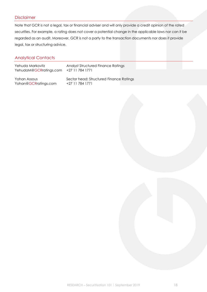# <span id="page-17-0"></span>Disclaimer

Note that GCR is not a legal, tax or financial adviser and will only provide a credit opinion of the rated securities. For example, a rating does not cover a potential change in the applicable laws nor can it be regarded as an audit. Moreover, GCR is not a party to the transaction documents nor does it provide legal, tax or structuring advice.

# <span id="page-17-1"></span>Analytical Contacts

| Yehuda Markovitz       | <b>Analyst Structured Finance Ratings</b> |
|------------------------|-------------------------------------------|
| YehudaM@GCRratings.com | +27 11 784 1771                           |
| Yohan Assous           | Sector head: Structured Finance Ratings   |
| Yohan@GCRratings.com   | +27 11 784 1771                           |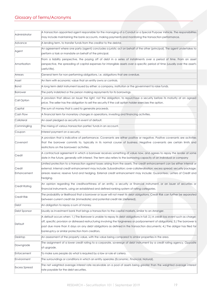# <span id="page-18-0"></span>Glossary of Terms/Acronyms

| Administrator         | A transaction appointed agent responsible for the managing of a Conduit or a Special Purpose Vehicle. The responsibilities<br>may include maintaining the bank accounts, making payments and monitoring the transaction performance.                                                                                                                                                                                                                  |
|-----------------------|-------------------------------------------------------------------------------------------------------------------------------------------------------------------------------------------------------------------------------------------------------------------------------------------------------------------------------------------------------------------------------------------------------------------------------------------------------|
| Advance               | A lending term, to transfer funds from the creditor to the debtor.                                                                                                                                                                                                                                                                                                                                                                                    |
| Agent                 | An agreement where one party (agent) concludes a juristic act on behalf of the other (principal). The agent undertakes to<br>perform a task or mandate on behalf of the principal.                                                                                                                                                                                                                                                                    |
| Amortisation          | From a liability perspective, the paying off of debt in a series of installments over a period of time. From an asset<br>perspective, the spreading of capital expenses for intangible assets over a specific period of time (usually over the asset's<br>useful life).                                                                                                                                                                               |
| Arrears               | General term for non-performing obligations, i.e. obligations that are overdue.                                                                                                                                                                                                                                                                                                                                                                       |
| Asset                 | An item with economic value that an entity owns or controls.                                                                                                                                                                                                                                                                                                                                                                                          |
| Bond                  | A long term debt instrument issued by either: a company, institution or the government to raise funds.                                                                                                                                                                                                                                                                                                                                                |
| Borrower              | The party indebted or the person making repayments for its borrowings.                                                                                                                                                                                                                                                                                                                                                                                |
| Call Option           | A provision that allows an Issuer the right, not the obligation, to repurchase a security before its maturity at an agreed<br>price. The seller has the obligation to sell the security if the call option holder exercises the option.                                                                                                                                                                                                               |
| Capital               | The sum of money that is used to generate proceeds.                                                                                                                                                                                                                                                                                                                                                                                                   |
| Cash Flow             | A financial term for monetary changes in operations, investing and financing activities.                                                                                                                                                                                                                                                                                                                                                              |
| Collateral            | An asset pledged as security in event of default.                                                                                                                                                                                                                                                                                                                                                                                                     |
| Commingling           | The mixing of various transaction parties' funds in an account.                                                                                                                                                                                                                                                                                                                                                                                       |
| Coupon                | Interest payment on a security.                                                                                                                                                                                                                                                                                                                                                                                                                       |
| Covenant              | A provision that is indicative of performance. Covenants are either positive or negative. Positive covenants are activities<br>that the borrower commits to, typically in its normal course of business. Negative covenants are certain limits and<br>restrictions on the borrowers' activities.                                                                                                                                                      |
| Credit                | A contractual agreement in which a borrower receives something of value now, and agrees to repay the lender at some<br>date in the future, generally with interest. The term also refers to the borrowing capacity of an individual or company                                                                                                                                                                                                        |
| Credit<br>Enhancement | Limited protection to a transaction against losses arising from the assets. The credit enhancement can be either internal or<br>external. Internal credit enhancement may include: Subordination; over-collateralisation; excess spread; security package;<br>arrears reserve; reserve fund and hedging. External credit enhancement may include: Guarantees; Letters of Credit and<br>hedging.                                                       |
| Credit Rating         | An opinion regarding the creditworthiness of an entity, a security or financial instrument, or an issuer of securities or<br>financial instruments, using an established and defined ranking system of rating categories.                                                                                                                                                                                                                             |
| <b>Credit Risk</b>    | The probability or likelihood that a borrower or issuer will not meet its debt obligations. Credit Risk can further be separated<br>between current credit risk (immediate) and potential credit risk (deferred).                                                                                                                                                                                                                                     |
| Debt                  | An obligation to repay a sum of money.                                                                                                                                                                                                                                                                                                                                                                                                                |
| Debt Sponsor          | Usually as Investment bank that brings a transaction to the capital markets, similar to an Arranger.                                                                                                                                                                                                                                                                                                                                                  |
| Default               | A default occurs when: 1.) The Borrower is unable to repay its debt obligations in full; 2.) A credit-loss event such as charge-<br>off, specific provision or distressed restructuring involving the forgiveness or postponement of obligations; 3.) The borrower is<br>past due more than X days on any debt obligations as defined in the transaction documents; 4.) The obligor has filed for<br>bankruptcy or similar protection from creditors. |
| Desktop               | An assessment of the property value, with the value being compared to similar properties in the area.                                                                                                                                                                                                                                                                                                                                                 |
| Downgrade             | The assignment of a lower credit rating to a corporate, sovereign of debt instrument by a credit rating agency. Opposite<br>of upgrade.                                                                                                                                                                                                                                                                                                               |
| Enforcement           | To make sure people do what is required by a law or rule et cetera.                                                                                                                                                                                                                                                                                                                                                                                   |
| Environment           | The surroundings or conditions in which an entity operates (Economic, Financial, Natural).                                                                                                                                                                                                                                                                                                                                                            |
| <b>Excess Spread</b>  | The net weighted average interest rate receivable on a pool of assets being greater than the weighted average interest<br>rate payable for the debt securities.                                                                                                                                                                                                                                                                                       |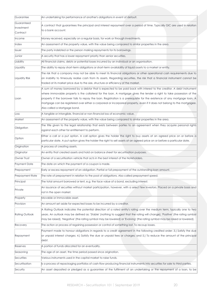| Guarantee              | An undertaking for performance of another's obligations in event of default.                                                   |
|------------------------|--------------------------------------------------------------------------------------------------------------------------------|
| Guaranteed             | A contract that guarantees the principal and interest repayment over a period of time. Typically GIC are used in relation      |
| Investment             | to a bank account.                                                                                                             |
| Contract               |                                                                                                                                |
| Income                 | Money received, especially on a regular basis, for work or through investments.                                                |
| Index                  | An assessment of the property value, with the value being compared to similar properties in the area.                          |
| Issuer                 | The party indebted or the person making repayments for its borrowings.                                                         |
| Junior                 | A security that has a lower repayment priority than senior securities.                                                         |
| Liability              | All financial claims, debts or potential losses incurred by an individual or an organisation.                                  |
| Liquidity              | The ability to repay short-term obligations or short-term availability of liquid assets to a market or entity.                 |
|                        | The risk that a company may not be able to meet its financial obligations or other operational cash requirements due to        |
| Liquidity Risk         | an inability to timeously realise cash from its assets. Regarding securities, the risk that a financial instrument cannot be   |
|                        | traded at its market price due to the size, structure or efficiency of the market.                                             |
|                        | A sum of money borrowed by a debtor that is expected to be paid back with interest to the creditor. A debt instrument          |
|                        | where immovable property is the collateral for the loan. A mortgage gives the lender a right to take possession of the         |
| Loan                   | property if the borrower fails to repay the loan. Registration is a prerequisite for the existence of any mortgage loan. A     |
|                        | mortgage can be registered over either a corporeal or incorporeal property, even if it does not belong to the mortgagee.       |
|                        | Also called a Mortgage bond.                                                                                                   |
| Loss                   | A tangible or intangible, financial or non-financial loss of economic value.                                                   |
| Market                 | An assessment of the property value, with the value being compared to similar properties in the area.                          |
| Obligation             | The title given to the legal relationship that exists between parties to an agreement when they acquire personal rights        |
|                        | against each other for entitlement to perform.                                                                                 |
| Option                 | Either a call or a put option. A call option gives the holder the right to buy assets at an agreed price on or before a        |
|                        | particular date. A put option gives the holder the right to sell assets at an agreed price on or before a particular date.     |
| Origination            | A process of creating assets.                                                                                                  |
| Originator             | An entity that created assets and hold on balance sheet for securitisation purposes.                                           |
| Owner Trust            | Owner of a securitisation vehicle that acts in the best interest of the Noteholders.                                           |
| Payment Date           | The date on which the payment of a coupon is made.                                                                             |
| Prepayment             | Early or excess repayment of an obligation. Partial or full prepayment of the outstanding loan amount.                         |
| <b>Prepayment Rate</b> | The rate of prepayment in relation to the pool of obligations. Also called prepayment speed.                                   |
| Principal              | The total amount borrowed or lent, e.g. the face value of a bond, excluding interest.                                          |
| Private                | An issuance of securities without market participation, however, with a select few investors. Placed on a private basis and    |
|                        | not in the open market.                                                                                                        |
| Property               | Movable or immovable asset.                                                                                                    |
| Provision              | An amount set aside for expected losses to be incurred by a creditor.                                                          |
|                        | A Rating Outlook indicates the potential direction of a rated entity's rating over the medium term, typically one to two       |
| <b>Rating Outlook</b>  | years. An outlook may be defined as: 'Stable' (nothing to suggest that the rating will change), 'Positive' (the rating symbol  |
|                        | may be raised), 'Negative' (the rating symbol may be lowered) or 'Evolving' (the rating symbol may be raised or lowered).      |
| Recovery               | The action or process of regaining possession or control of something lost. To recoup losses.                                  |
|                        | Payment made to honour obligations in regards to a credit agreement in the following credited order: 3.) Satisfy the due       |
| Repayment              | or unpaid interest charges; 4.) Satisfy the due or unpaid fees or charges; and 5.) To reduce the amount of the principal       |
|                        | debt.                                                                                                                          |
| Reserves               | A portion of funds allocated for an eventuality.                                                                               |
| Seasoning              | The age of an asset, the time period passed since origination.                                                                 |
| Securities             | Various instruments used in the capital market to raise funds.                                                                 |
| Securitisation         | Is a process of repackaging portfolios of cash-flow producing financial instruments into securities for sale to third parties. |
| Security               | An asset deposited or pledged as a guarantee of the fulfilment of an undertaking or the repayment of a loan, to be             |
|                        |                                                                                                                                |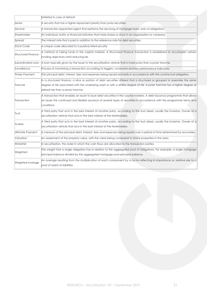|                           | forfeited in case of default.                                                                                                                                                                                                                                                                     |  |
|---------------------------|---------------------------------------------------------------------------------------------------------------------------------------------------------------------------------------------------------------------------------------------------------------------------------------------------|--|
| Senior                    | A security that has a higher repayment priority than junior securities.                                                                                                                                                                                                                           |  |
| Servicer                  | A transaction appointed agent that performs the servicing of mortgage loans, loan or obligations.                                                                                                                                                                                                 |  |
| Shareholder               | An individual, entity or financial institution that holds shares or stock in an organisation or company.                                                                                                                                                                                          |  |
| Spread                    | The interest rate that is paid in addition to the reference rate for debt securities.                                                                                                                                                                                                             |  |
| <b>Stock Code</b>         | A unique code allocated to a publicly listed security.                                                                                                                                                                                                                                            |  |
| <b>Structured Finance</b> | A method of raising funds in the capital markets. A Structured Finance transaction is established to accomplish certain<br>funding objectives whist reducing risk.                                                                                                                                |  |
| Subordinated Loan         | A loan typically given by the Issuer to the securitisation vehicle that is more junior than a junior tranche.                                                                                                                                                                                     |  |
| Surveillance              | Process of monitoring a transaction according to triggers, covenants and key performance indicators.                                                                                                                                                                                              |  |
| Timely Payment            | The principal debt, interest, fees and expenses being repaid promptly in accordance with the contractual obligation.                                                                                                                                                                              |  |
| Tranche                   | In a structured finance, a slice or portion of debt securities offered that is structured or grouped to resemble the same<br>degree of risk associated with the underlying asset or with a similar degree of risk. A junior tranche has a higher degree of<br>default risk than a senior tranche. |  |
| Transaction               | A transaction that enables an Issuer to issue debt securities in the capital markets. A debt issuance programme that allows<br>an Issuer the continued and flexible issuance of several types of securities in accordance with the programme terms and<br>conditions.                             |  |
| Trust                     | A third party that acts in the best interest of another party, according to the trust deed, usually the investors. Owner of a<br>securitisation vehicle that acts in the best interest of the Noteholders.                                                                                        |  |
| Trustee                   | A third party that acts in the best interest of another party, according to the trust deed, usually the investors. Owner of a<br>securitisation vehicle that acts in the best interest of the Noteholders.                                                                                        |  |
| Ultimate Payment          | A measure of the principal debt, interest, fees and expenses being repaid over a period of time determined by recoveries.                                                                                                                                                                         |  |
| Valuation                 | An assessment of the property value, with the value being compared to similar properties in the area.                                                                                                                                                                                             |  |
| Waterfall                 | In securitisation, the order in which the cash flows are allocated to the transaction parties.                                                                                                                                                                                                    |  |
| Weighted                  | The weight that a single obligation has in relation to the aggregated pool of obligations. For example, a single mortgage<br>principal balance divided by the aggregated mortgage pool principal balance.                                                                                         |  |
| <b>Weighted Average</b>   | An average resulting from the multiplication of each component by a factor reflecting its importance or, relative size to a<br>pool of assets or liabilities.                                                                                                                                     |  |